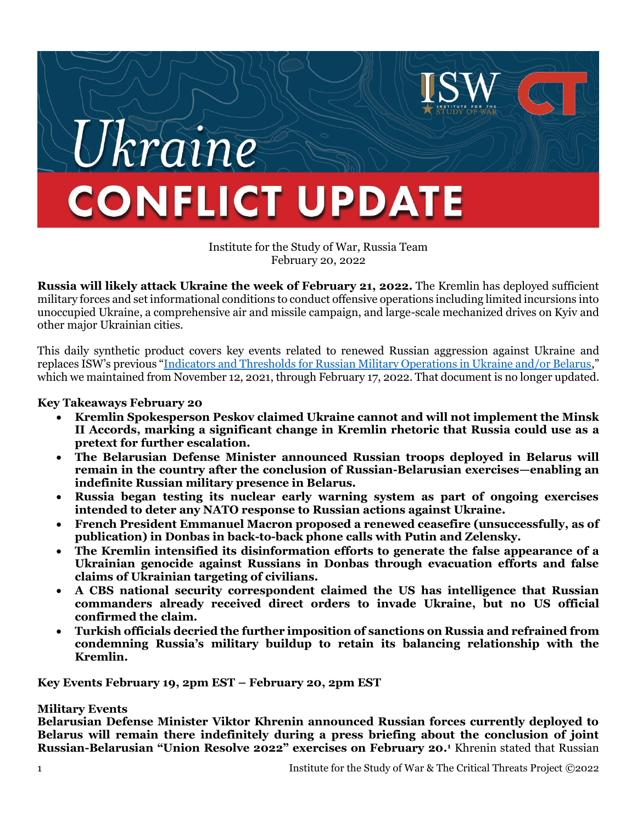

Institute for the Study of War, Russia Team February 20, 2022

**Russia will likely attack Ukraine the week of February 21, 2022.** The Kremlin has deployed sufficient military forces and set informational conditions to conduct offensive operations including limited incursions into unoccupied Ukraine, a comprehensive air and missile campaign, and large-scale mechanized drives on Kyiv and other major Ukrainian cities.

This daily synthetic product covers key events related to renewed Russian aggression against Ukraine and replaces ISW's previous "[Indicators and Thresholds for Russian Military Operations in Ukraine and/or Belarus](https://www.understandingwar.org/backgrounder/indicators-and-thresholds-russian-military-operations-ukraine-andor-belarus)," which we maintained from November 12, 2021, through February 17, 2022. That document is no longer updated.

### **Key Takeaways February 20**

- **Kremlin Spokesperson Peskov claimed Ukraine cannot and will not implement the Minsk II Accords, marking a significant change in Kremlin rhetoric that Russia could use as a pretext for further escalation.**
- **The Belarusian Defense Minister announced Russian troops deployed in Belarus will remain in the country after the conclusion of Russian-Belarusian exercises—enabling an indefinite Russian military presence in Belarus.**
- **Russia began testing its nuclear early warning system as part of ongoing exercises intended to deter any NATO response to Russian actions against Ukraine.**
- **French President Emmanuel Macron proposed a renewed ceasefire (unsuccessfully, as of publication) in Donbas in back-to-back phone calls with Putin and Zelensky.**
- **The Kremlin intensified its disinformation efforts to generate the false appearance of a Ukrainian genocide against Russians in Donbas through evacuation efforts and false claims of Ukrainian targeting of civilians.**
- **A CBS national security correspondent claimed the US has intelligence that Russian commanders already received direct orders to invade Ukraine, but no US official confirmed the claim.**
- **Turkish officials decried the further imposition of sanctions on Russia and refrained from condemning Russia's military buildup to retain its balancing relationship with the Kremlin.**

**Key Events February 19, 2pm EST – February 20, 2pm EST**

#### **Military Events**

**Belarusian Defense Minister Viktor Khrenin announced Russian forces currently deployed to Belarus will remain there indefinitely during a press briefing about the conclusion of joint Russian-Belarusian "Union Resolve 2022" exercises on February 20.<sup>1</sup>** Khrenin stated that Russian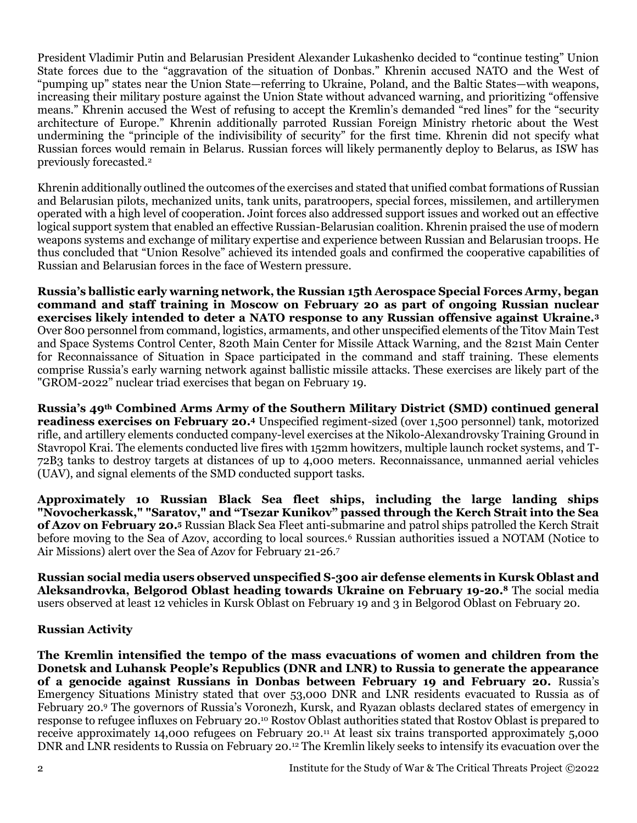President Vladimir Putin and Belarusian President Alexander Lukashenko decided to "continue testing" Union State forces due to the "aggravation of the situation of Donbas." Khrenin accused NATO and the West of "pumping up" states near the Union State—referring to Ukraine, Poland, and the Baltic States—with weapons, increasing their military posture against the Union State without advanced warning, and prioritizing "offensive means." Khrenin accused the West of refusing to accept the Kremlin's demanded "red lines" for the "security architecture of Europe." Khrenin additionally parroted Russian Foreign Ministry rhetoric about the West undermining the "principle of the indivisibility of security" for the first time. Khrenin did not specify what Russian forces would remain in Belarus. Russian forces will likely permanently deploy to Belarus, as ISW has previously forecasted.<sup>2</sup>

Khrenin additionally outlined the outcomes of the exercises and stated that unified combat formations of Russian and Belarusian pilots, mechanized units, tank units, paratroopers, special forces, missilemen, and artillerymen operated with a high level of cooperation. Joint forces also addressed support issues and worked out an effective logical support system that enabled an effective Russian-Belarusian coalition. Khrenin praised the use of modern weapons systems and exchange of military expertise and experience between Russian and Belarusian troops. He thus concluded that "Union Resolve" achieved its intended goals and confirmed the cooperative capabilities of Russian and Belarusian forces in the face of Western pressure.

**Russia's ballistic early warning network, the Russian 15th Aerospace Special Forces Army, began command and staff training in Moscow on February 20 as part of ongoing Russian nuclear exercises likely intended to deter a NATO response to any Russian offensive against Ukraine.<sup>3</sup>** Over 800 personnel from command, logistics, armaments, and other unspecified elements of the Titov Main Test and Space Systems Control Center, 820th Main Center for Missile Attack Warning, and the 821st Main Center for Reconnaissance of Situation in Space participated in the command and staff training. These elements comprise Russia's early warning network against ballistic missile attacks. These exercises are likely part of the "GROM-2022" nuclear triad exercises that began on February 19.

**Russia's 49th Combined Arms Army of the Southern Military District (SMD) continued general readiness exercises on February 20. <sup>4</sup>** Unspecified regiment-sized (over 1,500 personnel) tank, motorized rifle, and artillery elements conducted company-level exercises at the Nikolo-Alexandrovsky Training Ground in Stavropol Krai. The elements conducted live fires with 152mm howitzers, multiple launch rocket systems, and T-72B3 tanks to destroy targets at distances of up to 4,000 meters. Reconnaissance, unmanned aerial vehicles (UAV), and signal elements of the SMD conducted support tasks.

**Approximately 10 Russian Black Sea fleet ships, including the large landing ships "Novocherkassk," "Saratov," and "Tsezar Kunikov" passed through the Kerch Strait into the Sea of Azov on February 20.<sup>5</sup>** Russian Black Sea Fleet anti-submarine and patrol ships patrolled the Kerch Strait before moving to the Sea of Azov, according to local sources.<sup>6</sup> Russian authorities issued a NOTAM (Notice to Air Missions) alert over the Sea of Azov for February 21-26.<sup>7</sup>

**Russian social media users observed unspecified S-300 air defense elements in Kursk Oblast and Aleksandrovka, Belgorod Oblast heading towards Ukraine on February 19-20.<sup>8</sup>** The social media users observed at least 12 vehicles in Kursk Oblast on February 19 and 3 in Belgorod Oblast on February 20.

## **Russian Activity**

**The Kremlin intensified the tempo of the mass evacuations of women and children from the Donetsk and Luhansk People's Republics (DNR and LNR) to Russia to generate the appearance of a genocide against Russians in Donbas between February 19 and February 20.** Russia's Emergency Situations Ministry stated that over 53,000 DNR and LNR residents evacuated to Russia as of February 20.<sup>9</sup> The governors of Russia's Voronezh, Kursk, and Ryazan oblasts declared states of emergency in response to refugee influxes on February 20.<sup>10</sup> Rostov Oblast authorities stated that Rostov Oblast is prepared to receive approximately 14,000 refugees on February 20.<sup>11</sup> At least six trains transported approximately 5,000 DNR and LNR residents to Russia on February 20.<sup>12</sup> The Kremlin likely seeks to intensify its evacuation over the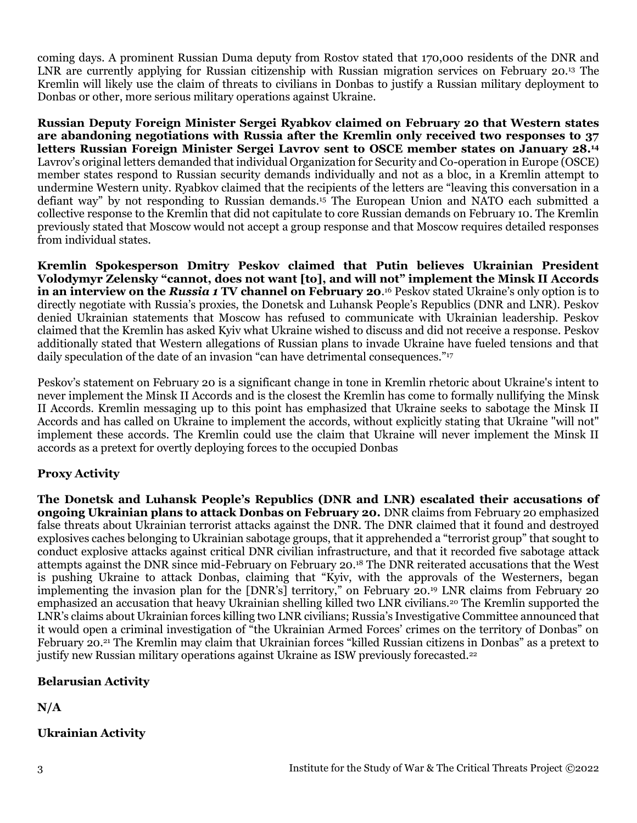coming days. A prominent Russian Duma deputy from Rostov stated that 170,000 residents of the DNR and LNR are currently applying for Russian citizenship with Russian migration services on February 20.<sup>13</sup> The Kremlin will likely use the claim of threats to civilians in Donbas to justify a Russian military deployment to Donbas or other, more serious military operations against Ukraine.

**Russian Deputy Foreign Minister Sergei Ryabkov claimed on February 20 that Western states are abandoning negotiations with Russia after the Kremlin only received two responses to 37 letters Russian Foreign Minister Sergei Lavrov sent to OSCE member states on January 28.<sup>14</sup>** Lavrov's original letters demanded that individual Organization for Security and Co-operation in Europe (OSCE) member states respond to Russian security demands individually and not as a bloc, in a Kremlin attempt to undermine Western unity. Ryabkov claimed that the recipients of the letters are "leaving this conversation in a defiant way" by not responding to Russian demands.<sup>15</sup> The European Union and NATO each submitted a collective response to the Kremlin that did not capitulate to core Russian demands on February 10. The Kremlin previously stated that Moscow would not accept a group response and that Moscow requires detailed responses from individual states.

**Kremlin Spokesperson Dmitry Peskov claimed that Putin believes Ukrainian President Volodymyr Zelensky "cannot, does not want [to], and will not" implement the Minsk II Accords in an interview on the** *Russia 1* **TV channel on February 20**. <sup>16</sup> Peskov stated Ukraine's only option is to directly negotiate with Russia's proxies, the Donetsk and Luhansk People's Republics (DNR and LNR). Peskov denied Ukrainian statements that Moscow has refused to communicate with Ukrainian leadership. Peskov claimed that the Kremlin has asked Kyiv what Ukraine wished to discuss and did not receive a response. Peskov additionally stated that Western allegations of Russian plans to invade Ukraine have fueled tensions and that daily speculation of the date of an invasion "can have detrimental consequences."<sup>17</sup>

Peskov's statement on February 20 is a significant change in tone in Kremlin rhetoric about Ukraine's intent to never implement the Minsk II Accords and is the closest the Kremlin has come to formally nullifying the Minsk II Accords. Kremlin messaging up to this point has emphasized that Ukraine seeks to sabotage the Minsk II Accords and has called on Ukraine to implement the accords, without explicitly stating that Ukraine "will not" implement these accords. The Kremlin could use the claim that Ukraine will never implement the Minsk II accords as a pretext for overtly deploying forces to the occupied Donbas

## **Proxy Activity**

**The Donetsk and Luhansk People's Republics (DNR and LNR) escalated their accusations of ongoing Ukrainian plans to attack Donbas on February 20.** DNR claims from February 20 emphasized false threats about Ukrainian terrorist attacks against the DNR. The DNR claimed that it found and destroyed explosives caches belonging to Ukrainian sabotage groups, that it apprehended a "terrorist group" that sought to conduct explosive attacks against critical DNR civilian infrastructure, and that it recorded five sabotage attack attempts against the DNR since mid-February on February 20.<sup>18</sup> The DNR reiterated accusations that the West is pushing Ukraine to attack Donbas, claiming that "Kyiv, with the approvals of the Westerners, began implementing the invasion plan for the [DNR's] territory," on February 20.<sup>19</sup> LNR claims from February 20 emphasized an accusation that heavy Ukrainian shelling killed two LNR civilians.<sup>20</sup> The Kremlin supported the LNR's claims about Ukrainian forces killing two LNR civilians; Russia's Investigative Committee announced that it would open a criminal investigation of "the Ukrainian Armed Forces' crimes on the territory of Donbas" on February 20.<sup>21</sup> The Kremlin may claim that Ukrainian forces "killed Russian citizens in Donbas" as a pretext to justify new Russian military operations against Ukraine as ISW previously forecasted.<sup>22</sup>

## **Belarusian Activity**

**N/A**

# **Ukrainian Activity**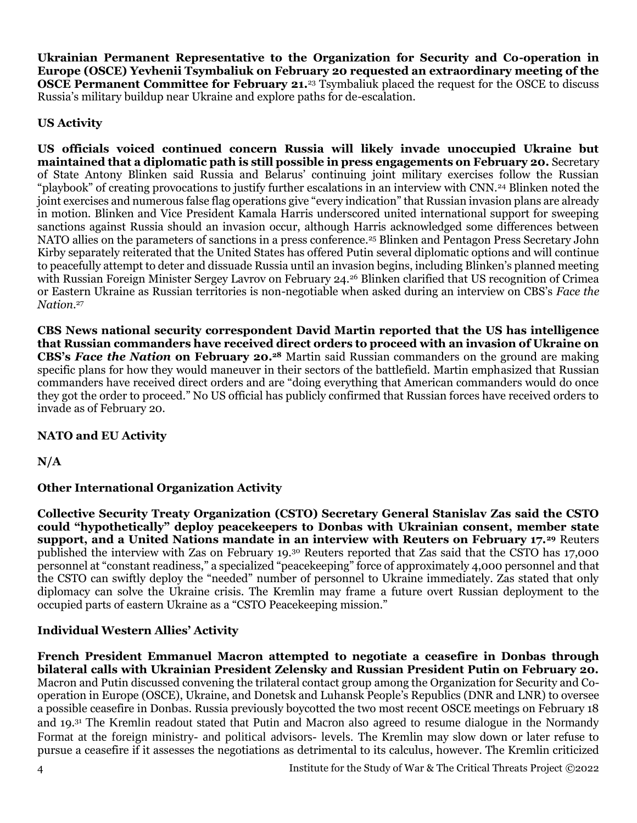**Ukrainian Permanent Representative to the Organization for Security and Co-operation in Europe (OSCE) Yevhenii Tsymbaliuk on February 20 requested an extraordinary meeting of the OSCE Permanent Committee for February 21.**<sup>23</sup> Tsymbaliuk placed the request for the OSCE to discuss Russia's military buildup near Ukraine and explore paths for de-escalation.

# **US Activity**

**US officials voiced continued concern Russia will likely invade unoccupied Ukraine but maintained that a diplomatic path is still possible in press engagements on February 20.** Secretary of State Antony Blinken said Russia and Belarus' continuing joint military exercises follow the Russian "playbook" of creating provocations to justify further escalations in an interview with CNN.<sup>24</sup> Blinken noted the joint exercises and numerous false flag operations give "every indication" that Russian invasion plans are already in motion. Blinken and Vice President Kamala Harris underscored united international support for sweeping sanctions against Russia should an invasion occur, although Harris acknowledged some differences between NATO allies on the parameters of sanctions in a press conference.<sup>25</sup> Blinken and Pentagon Press Secretary John Kirby separately reiterated that the United States has offered Putin several diplomatic options and will continue to peacefully attempt to deter and dissuade Russia until an invasion begins, including Blinken's planned meeting with Russian Foreign Minister Sergey Lavrov on February 24.<sup>26</sup> Blinken clarified that US recognition of Crimea or Eastern Ukraine as Russian territories is non-negotiable when asked during an interview on CBS's *Face the Nation*. 27

**CBS News national security correspondent David Martin reported that the US has intelligence that Russian commanders have received direct orders to proceed with an invasion of Ukraine on CBS's** *Face the Nation* **on February 20.<sup>28</sup>** Martin said Russian commanders on the ground are making specific plans for how they would maneuver in their sectors of the battlefield. Martin emphasized that Russian commanders have received direct orders and are "doing everything that American commanders would do once they got the order to proceed." No US official has publicly confirmed that Russian forces have received orders to invade as of February 20.

# **NATO and EU Activity**

**N/A**

# **Other International Organization Activity**

**Collective Security Treaty Organization (CSTO) Secretary General Stanislav Zas said the CSTO could "hypothetically" deploy peacekeepers to Donbas with Ukrainian consent, member state support, and a United Nations mandate in an interview with Reuters on February 17.<sup>29</sup>** Reuters published the interview with Zas on February 19.<sup>30</sup> Reuters reported that Zas said that the CSTO has 17,000 personnel at "constant readiness," a specialized "peacekeeping" force of approximately 4,000 personnel and that the CSTO can swiftly deploy the "needed" number of personnel to Ukraine immediately. Zas stated that only diplomacy can solve the Ukraine crisis. The Kremlin may frame a future overt Russian deployment to the occupied parts of eastern Ukraine as a "CSTO Peacekeeping mission."

## **Individual Western Allies' Activity**

**French President Emmanuel Macron attempted to negotiate a ceasefire in Donbas through bilateral calls with Ukrainian President Zelensky and Russian President Putin on February 20.**  Macron and Putin discussed convening the trilateral contact group among the Organization for Security and Cooperation in Europe (OSCE), Ukraine, and Donetsk and Luhansk People's Republics (DNR and LNR) to oversee a possible ceasefire in Donbas. Russia previously boycotted the two most recent OSCE meetings on February 18 and 19.<sup>31</sup> The Kremlin readout stated that Putin and Macron also agreed to resume dialogue in the Normandy Format at the foreign ministry- and political advisors- levels. The Kremlin may slow down or later refuse to pursue a ceasefire if it assesses the negotiations as detrimental to its calculus, however. The Kremlin criticized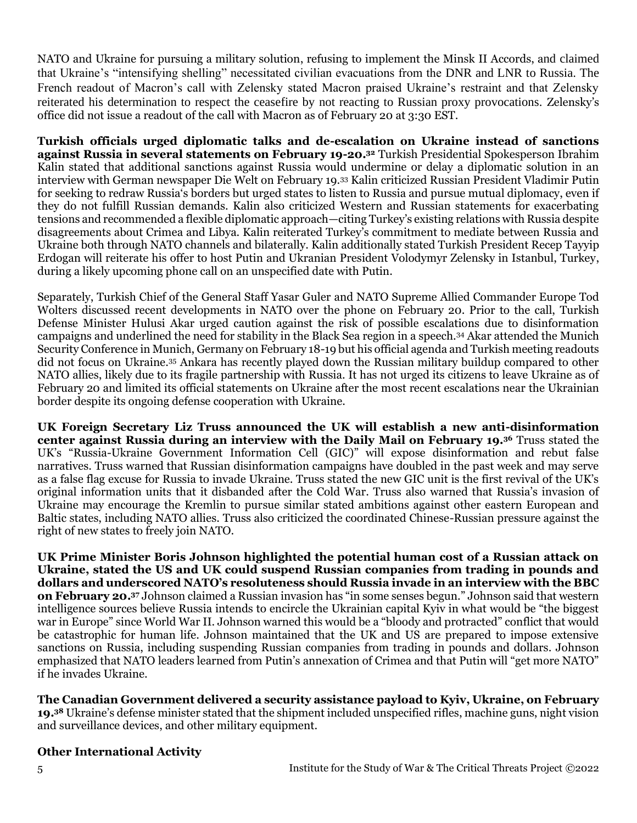NATO and Ukraine for pursuing a military solution, refusing to implement the Minsk II Accords, and claimed that Ukraine's "intensifying shelling" necessitated civilian evacuations from the DNR and LNR to Russia. The French readout of Macron's call with Zelensky stated Macron praised Ukraine's restraint and that Zelensky reiterated his determination to respect the ceasefire by not reacting to Russian proxy provocations. Zelensky's office did not issue a readout of the call with Macron as of February 20 at 3:30 EST.

**Turkish officials urged diplomatic talks and de-escalation on Ukraine instead of sanctions against Russia in several statements on February 19-20.<sup>32</sup>** Turkish Presidential Spokesperson Ibrahim Kalin stated that additional sanctions against Russia would undermine or delay a diplomatic solution in an interview with German newspaper Die Welt on February 19.<sup>33</sup> Kalin criticized Russian President Vladimir Putin for seeking to redraw Russia's borders but urged states to listen to Russia and pursue mutual diplomacy, even if they do not fulfill Russian demands. Kalin also criticized Western and Russian statements for exacerbating tensions and recommended a flexible diplomatic approach—citing Turkey's existing relations with Russia despite disagreements about Crimea and Libya. Kalin reiterated Turkey's commitment to mediate between Russia and Ukraine both through NATO channels and bilaterally. Kalin additionally stated Turkish President Recep Tayyip Erdogan will reiterate his offer to host Putin and Ukranian President Volodymyr Zelensky in Istanbul, Turkey, during a likely upcoming phone call on an unspecified date with Putin.

Separately, Turkish Chief of the General Staff Yasar Guler and NATO Supreme Allied Commander Europe Tod Wolters discussed recent developments in NATO over the phone on February 20. Prior to the call, Turkish Defense Minister Hulusi Akar urged caution against the risk of possible escalations due to disinformation campaigns and underlined the need for stability in the Black Sea region in a speech.<sup>34</sup> Akar attended the Munich Security Conference in Munich, Germany on February 18-19 but his official agenda and Turkish meeting readouts did not focus on Ukraine.<sup>35</sup> Ankara has recently played down the Russian military buildup compared to other NATO allies, likely due to its fragile partnership with Russia. It has not urged its citizens to leave Ukraine as of February 20 and limited its official statements on Ukraine after the most recent escalations near the Ukrainian border despite its ongoing defense cooperation with Ukraine.

**UK Foreign Secretary Liz Truss announced the UK will establish a new anti-disinformation center against Russia during an interview with the Daily Mail on February 19.<sup>36</sup>** Truss stated the UK's "Russia-Ukraine Government Information Cell (GIC)" will expose disinformation and rebut false narratives. Truss warned that Russian disinformation campaigns have doubled in the past week and may serve as a false flag excuse for Russia to invade Ukraine. Truss stated the new GIC unit is the first revival of the UK's original information units that it disbanded after the Cold War. Truss also warned that Russia's invasion of Ukraine may encourage the Kremlin to pursue similar stated ambitions against other eastern European and Baltic states, including NATO allies. Truss also criticized the coordinated Chinese-Russian pressure against the right of new states to freely join NATO.

**UK Prime Minister Boris Johnson highlighted the potential human cost of a Russian attack on Ukraine, stated the US and UK could suspend Russian companies from trading in pounds and dollars and underscored NATO's resoluteness should Russia invade in an interview with the BBC on February 20.<sup>37</sup>** Johnson claimed a Russian invasion has "in some senses begun." Johnson said that western intelligence sources believe Russia intends to encircle the Ukrainian capital Kyiv in what would be "the biggest war in Europe" since World War II. Johnson warned this would be a "bloody and protracted" conflict that would be catastrophic for human life. Johnson maintained that the UK and US are prepared to impose extensive sanctions on Russia, including suspending Russian companies from trading in pounds and dollars. Johnson emphasized that NATO leaders learned from Putin's annexation of Crimea and that Putin will "get more NATO" if he invades Ukraine.

**The Canadian Government delivered a security assistance payload to Kyiv, Ukraine, on February 19.<sup>38</sup>** Ukraine's defense minister stated that the shipment included unspecified rifles, machine guns, night vision and surveillance devices, and other military equipment.

# **Other International Activity**